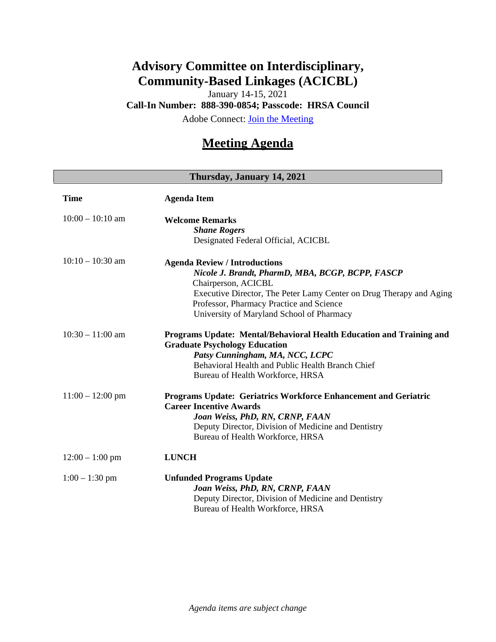## **Advisory Committee on Interdisciplinary, Community-Based Linkages (ACICBL)**

January 14-15, 2021

**Call-In Number: 888-390-0854; Passcode: HRSA Council**

Adobe Connect: [Join the Meeting](https://hrsa.connectsolutions.com/ACICBL)

## **Meeting Agenda**

## **Thursday, January 14, 2021 Time Agenda Item** 10:00 – 10:10 am **Welcome Remarks** *Shane Rogers* Designated Federal Official, ACICBL 10:10 – 10:30 am **Agenda Review / Introductions** *Nicole J. Brandt, PharmD, MBA, BCGP, BCPP, FASCP* Chairperson, ACICBL Executive Director, The Peter Lamy Center on Drug Therapy and Aging Professor, Pharmacy Practice and Science University of Maryland School of Pharmacy 10:30 – 11:00 am **Programs Update: Mental/Behavioral Health Education and Training and Graduate Psychology Education** *Patsy Cunningham, MA, NCC, LCPC* Behavioral Health and Public Health Branch Chief Bureau of Health Workforce, HRSA 11:00 – 12:00 pm **Programs Update: Geriatrics Workforce Enhancement and Geriatric Career Incentive Awards**  *Joan Weiss, PhD, RN, CRNP, FAAN* Deputy Director, Division of Medicine and Dentistry Bureau of Health Workforce, HRSA 12:00 – 1:00 pm **LUNCH** 1:00 – 1:30 pm **Unfunded Programs Update** *Joan Weiss, PhD, RN, CRNP, FAAN* Deputy Director, Division of Medicine and Dentistry Bureau of Health Workforce, HRSA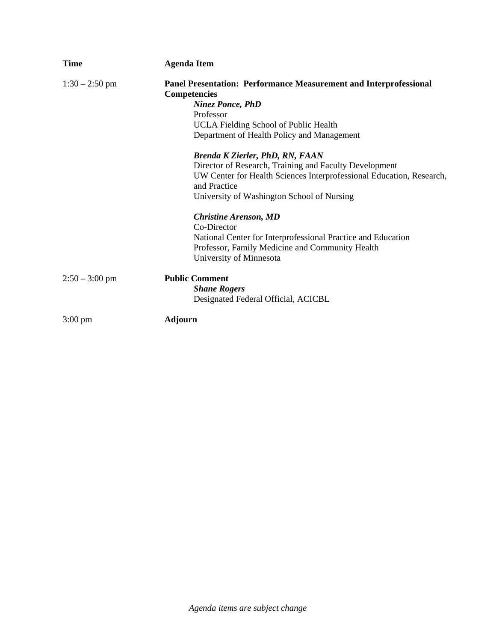| <b>Time</b>       | <b>Agenda Item</b>                                                                                                                                                                           |
|-------------------|----------------------------------------------------------------------------------------------------------------------------------------------------------------------------------------------|
| $1:30 - 2:50$ pm  | Panel Presentation: Performance Measurement and Interprofessional<br><b>Competencies</b><br><b>Ninez Ponce, PhD</b>                                                                          |
|                   | Professor                                                                                                                                                                                    |
|                   | UCLA Fielding School of Public Health<br>Department of Health Policy and Management                                                                                                          |
|                   | <b>Brenda K Zierler, PhD, RN, FAAN</b>                                                                                                                                                       |
|                   | Director of Research, Training and Faculty Development<br>UW Center for Health Sciences Interprofessional Education, Research,<br>and Practice<br>University of Washington School of Nursing |
|                   | <b>Christine Arenson, MD</b><br>Co-Director<br>National Center for Interprofessional Practice and Education<br>Professor, Family Medicine and Community Health<br>University of Minnesota    |
| $2:50 - 3:00$ pm  | <b>Public Comment</b><br><b>Shane Rogers</b><br>Designated Federal Official, ACICBL                                                                                                          |
| $3:00 \text{ pm}$ | <b>Adjourn</b>                                                                                                                                                                               |